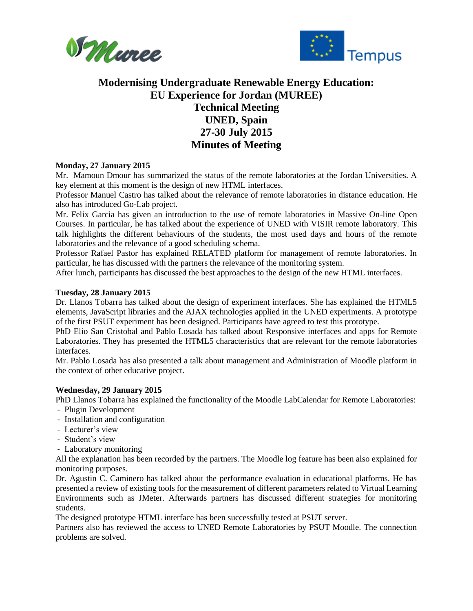



# **Modernising Undergraduate Renewable Energy Education: EU Experience for Jordan (MUREE) Technical Meeting UNED, Spain 27-30 July 2015 Minutes of Meeting**

### **Monday, 27 January 2015**

Mr. Mamoun Dmour has summarized the status of the remote laboratories at the Jordan Universities. A key element at this moment is the design of new HTML interfaces.

Professor Manuel Castro has talked about the relevance of remote laboratories in distance education. He also has introduced Go-Lab project.

Mr. Felix Garcia has given an introduction to the use of remote laboratories in Massive On-line Open Courses. In particular, he has talked about the experience of UNED with VISIR remote laboratory. This talk highlights the different behaviours of the students, the most used days and hours of the remote laboratories and the relevance of a good scheduling schema.

Professor Rafael Pastor has explained RELATED platform for management of remote laboratories. In particular, he has discussed with the partners the relevance of the monitoring system.

After lunch, participants has discussed the best approaches to the design of the new HTML interfaces.

#### **Tuesday, 28 January 2015**

Dr. Llanos Tobarra has talked about the design of experiment interfaces. She has explained the HTML5 elements, JavaScript libraries and the AJAX technologies applied in the UNED experiments. A prototype of the first PSUT experiment has been designed. Participants have agreed to test this prototype.

PhD Elio San Cristobal and Pablo Losada has talked about Responsive interfaces and apps for Remote Laboratories. They has presented the HTML5 characteristics that are relevant for the remote laboratories interfaces.

Mr. Pablo Losada has also presented a talk about management and Administration of Moodle platform in the context of other educative project.

#### **Wednesday, 29 January 2015**

PhD Llanos Tobarra has explained the functionality of the Moodle LabCalendar for Remote Laboratories:

- Plugin Development
- Installation and configuration
- Lecturer's view
- Student's view
- Laboratory monitoring

All the explanation has been recorded by the partners. The Moodle log feature has been also explained for monitoring purposes.

Dr. Agustin C. Caminero has talked about the performance evaluation in educational platforms. He has presented a review of existing tools for the measurement of different parameters related to Virtual Learning Environments such as JMeter. Afterwards partners has discussed different strategies for monitoring students.

The designed prototype HTML interface has been successfully tested at PSUT server.

Partners also has reviewed the access to UNED Remote Laboratories by PSUT Moodle. The connection problems are solved.